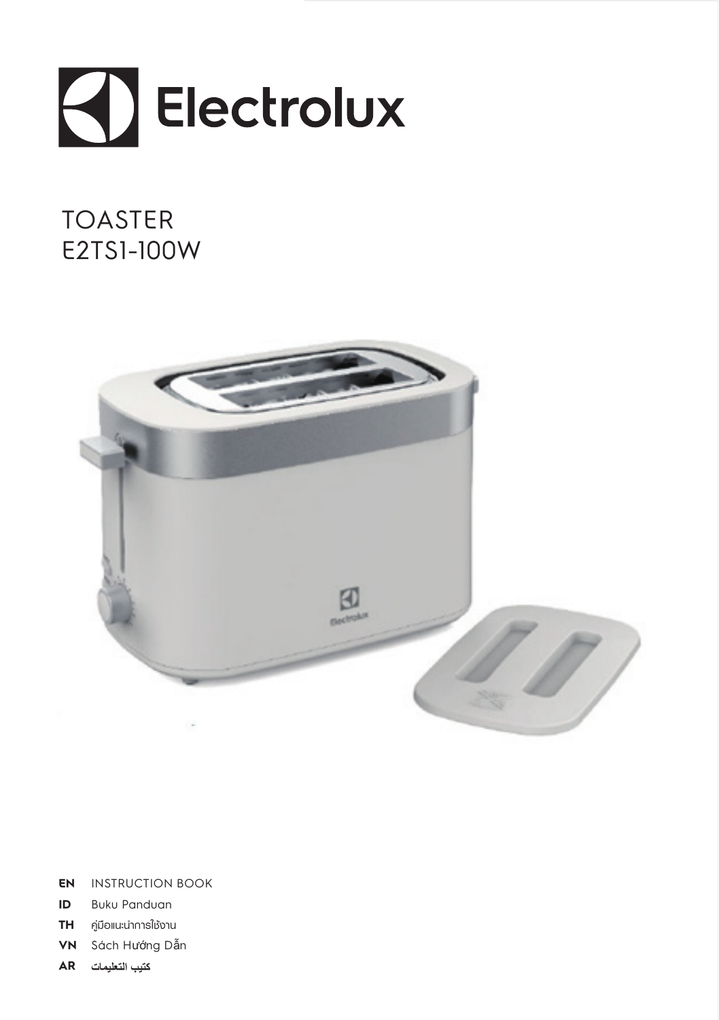

# TOASTER E2TS1-100W



- **EN** INSTRUCTION BOOK
- **ID** Buku Panduan
- **TH** คู่มือแนะนำการใช้งาน
- **VN** Sách Hướng Dẫn
- **كتيب التعليمات AR**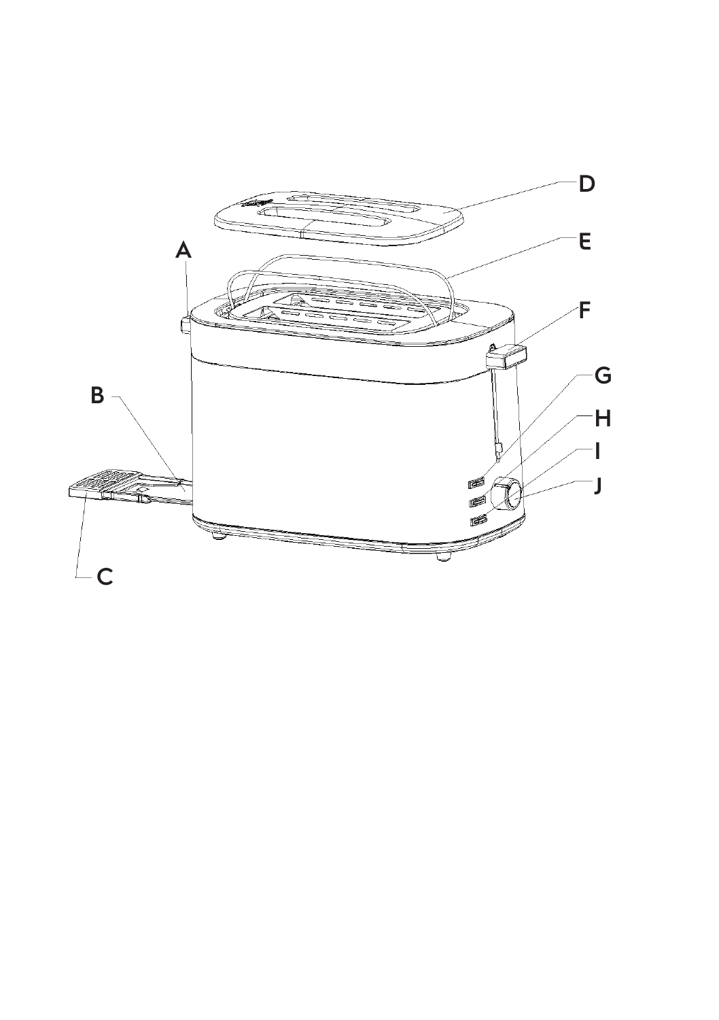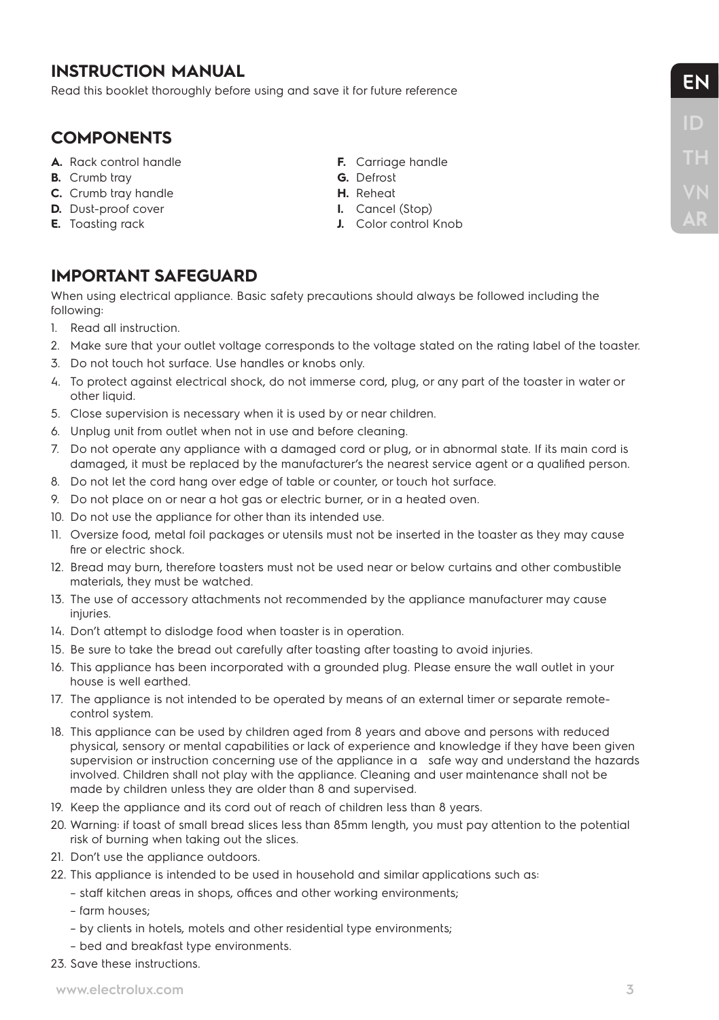**INSTRUCTION MANUAL**<br>Read this booklet thoroughly before using and save it for future reference<br>**Read this booklet thoroughly before using and save it for future reference** 

# **COMPONENTS**

- **A.** Rack control handle
- **B.** Crumb tray
- **C.** Crumb tray handle
- **D.** Dust-proof cover
- **E.** Toasting rack
- **F.** Carriage handle
- **G.** Defrost
- **H.** Reheat
- 
- 

# **IMPORTANT SAFEGUARD**

When using electrical appliance. Basic safety precautions should always be followed including the following:

- 1. Read all instruction.
- 2. Make sure that your outlet voltage corresponds to the voltage stated on the rating label of the toaster.
- 3. Do not touch hot surface. Use handles or knobs only.
- 4. To protect against electrical shock, do not immerse cord, plug, or any part of the toaster in water or other liquid.
- 5. Close supervision is necessary when it is used by or near children.
- 6. Unplug unit from outlet when not in use and before cleaning.
- 7. Do not operate any appliance with a damaged cord or plug, or in abnormal state. If its main cord is damaged, it must be replaced by the manufacturer's the nearest service agent or a qualified person.
- 8. Do not let the cord hang over edge of table or counter, or touch hot surface.
- 9. Do not place on or near a hot gas or electric burner, or in a heated oven.
- 10. Do not use the appliance for other than its intended use.
- 11. Oversize food, metal foil packages or utensils must not be inserted in the toaster as they may cause fire or electric shock.
- 12. Bread may burn, therefore toasters must not be used near or below curtains and other combustible materials, they must be watched.
- 13. The use of accessory attachments not recommended by the appliance manufacturer may cause injuries.
- 14. Don't attempt to dislodge food when toaster is in operation.
- 15. Be sure to take the bread out carefully after toasting after toasting to avoid injuries.
- 16. This appliance has been incorporated with a grounded plug. Please ensure the wall outlet in your house is well earthed.
- 17. The appliance is not intended to be operated by means of an external timer or separate remotecontrol system.
- 18. This appliance can be used by children aged from 8 years and above and persons with reduced physical, sensory or mental capabilities or lack of experience and knowledge if they have been given supervision or instruction concerning use of the appliance in a safe way and understand the hazards involved. Children shall not play with the appliance. Cleaning and user maintenance shall not be made by children unless they are older than 8 and supervised.
- 19. Keep the appliance and its cord out of reach of children less than 8 years.
- 20. Warning: if toast of small bread slices less than 85mm length, you must pay attention to the potential risk of burning when taking out the slices.
- 21. Don't use the appliance outdoors.
- 22. This appliance is intended to be used in household and similar applications such as:
	- staff kitchen areas in shops, offices and other working environments;
	- farm houses;
	- by clients in hotels, motels and other residential type environments;
	- bed and breakfast type environments.
- 23. Save these instructions.
- 
- 
- **I.** Cancel (Stop)
- **J.** Color control Knob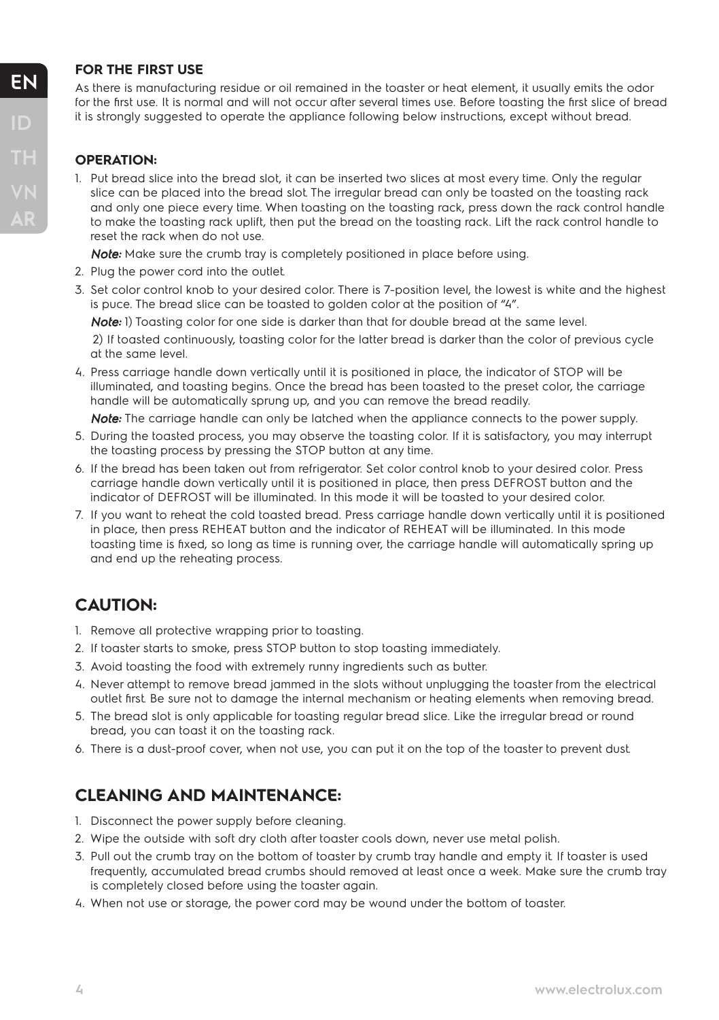### **FOR THE FIRST USE**

As there is manufacturing residue or oil remained in the toaster or heat element, it usually emits the odor for the first use. It is normal and will not occur after several times use. Before toasting the first slice of bread it is strongly suggested to operate the appliance following below instructions, except without bread.

# **OPERATION:**

1. Put bread slice into the bread slot, it can be inserted two slices at most every time. Only the regular slice can be placed into the bread slot. The irregular bread can only be toasted on the toasting rack and only one piece every time. When toasting on the toasting rack, press down the rack control handle to make the toasting rack uplift, then put the bread on the toasting rack. Lift the rack control handle to reset the rack when do not use.

Note: Make sure the crumb tray is completely positioned in place before using.

- 2. Plug the power cord into the outlet.
- 3. Set color control knob to your desired color. There is 7-position level, the lowest is white and the highest is puce. The bread slice can be toasted to golden color at the position of "4".

Note: 1) Toasting color for one side is darker than that for double bread at the same level.

 2) If toasted continuously, toasting color for the latter bread is darker than the color of previous cycle at the same level.

4. Press carriage handle down vertically until it is positioned in place, the indicator of STOP will be illuminated, and toasting begins. Once the bread has been toasted to the preset color, the carriage handle will be automatically sprung up, and you can remove the bread readily.

Note: The carriage handle can only be latched when the appliance connects to the power supply.

- 5. During the toasted process, you may observe the toasting color. If it is satisfactory, you may interrupt the toasting process by pressing the STOP button at any time.
- 6. If the bread has been taken out from refrigerator. Set color control knob to your desired color. Press carriage handle down vertically until it is positioned in place, then press DEFROST button and the indicator of DEFROST will be illuminated. In this mode it will be toasted to your desired color.
- 7. If you want to reheat the cold toasted bread. Press carriage handle down vertically until it is positioned in place, then press REHEAT button and the indicator of REHEAT will be illuminated. In this mode toasting time is fixed, so long as time is running over, the carriage handle will automatically spring up and end up the reheating process.

# **CAUTION:**

- 1. Remove all protective wrapping prior to toasting.
- 2. If toaster starts to smoke, press STOP button to stop toasting immediately.
- 3. Avoid toasting the food with extremely runny ingredients such as butter.
- 4. Never attempt to remove bread jammed in the slots without unplugging the toaster from the electrical outlet first. Be sure not to damage the internal mechanism or heating elements when removing bread.
- 5. The bread slot is only applicable for toasting regular bread slice. Like the irregular bread or round bread, you can toast it on the toasting rack.
- 6. There is a dust-proof cover, when not use, you can put it on the top of the toaster to prevent dust.

# **CLEANING AND MAINTENANCE:**

- 1. Disconnect the power supply before cleaning.
- 2. Wipe the outside with soft dry cloth after toaster cools down, never use metal polish.
- 3. Pull out the crumb tray on the bottom of toaster by crumb tray handle and empty it. If toaster is used frequently, accumulated bread crumbs should removed at least once a week. Make sure the crumb tray is completely closed before using the toaster again.
- 4. When not use or storage, the power cord may be wound under the bottom of toaster.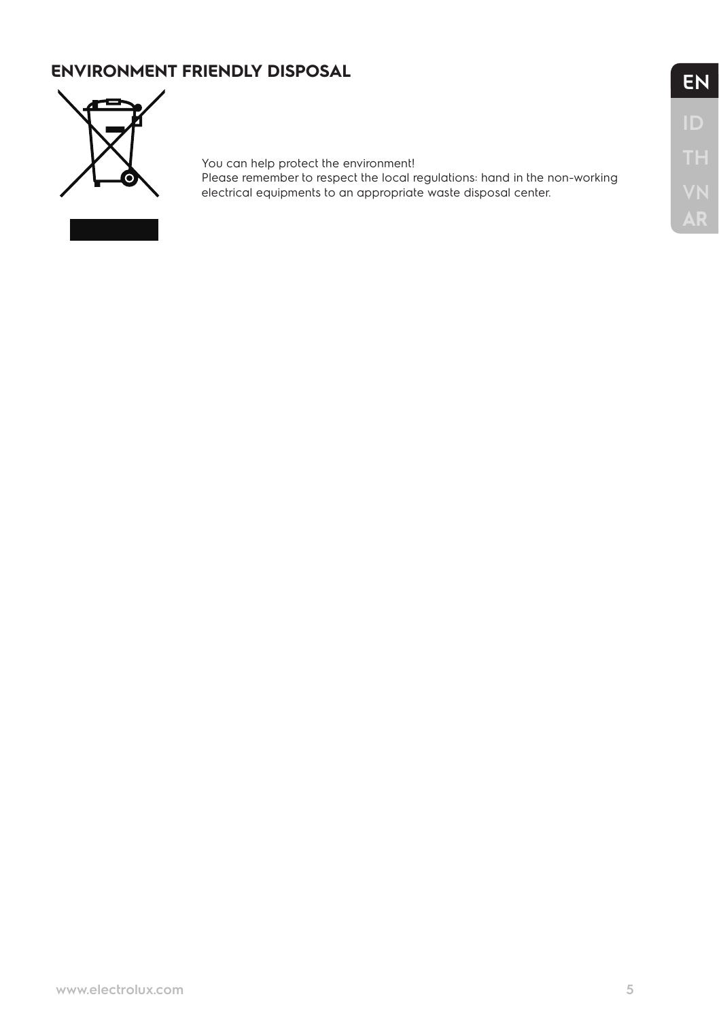# **EN ENVIRONMENT FRIENDLY DISPOSAL**



# You can help protect the environment!

Please remember to respect the local regulations: hand in the non-working electrical equipments to an appropriate waste disposal center.

| ٦ |  |
|---|--|
|   |  |
|   |  |
|   |  |
|   |  |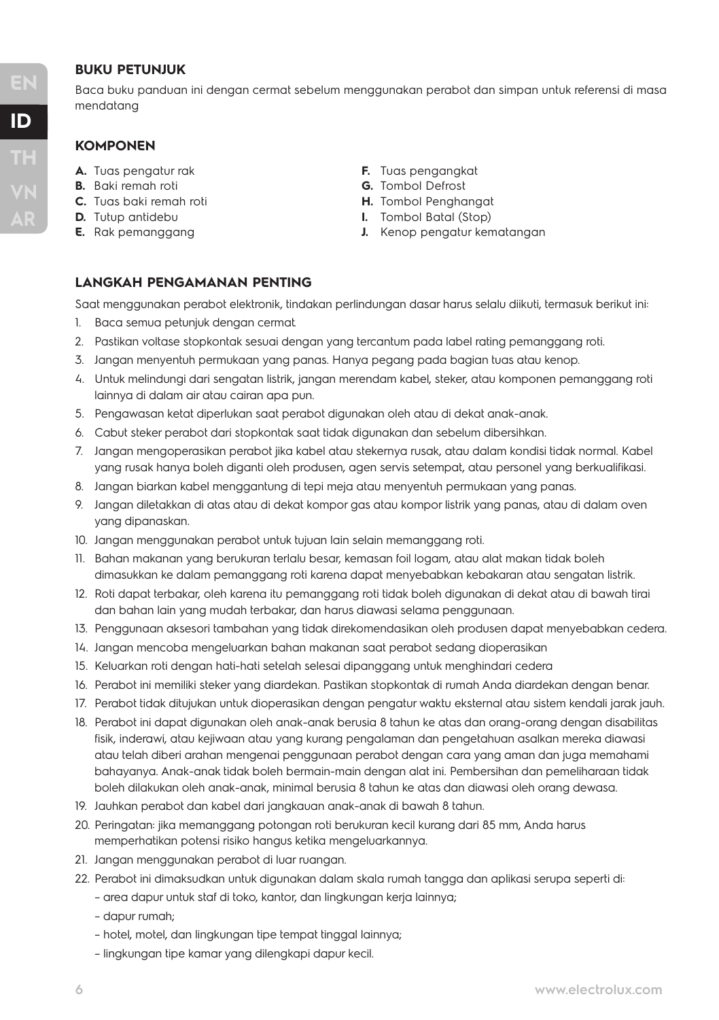# **BUKU PETUNJUK**

Baca buku panduan ini dengan cermat sebelum menggunakan perabot dan simpan untuk referensi di masa mendatang

# **KOMPONEN**

- **A.** Tuas pengatur rak
- **B.** Baki remah roti
- **C.** Tuas baki remah roti
- **D.** Tutup antidebu
- **E.** Rak pemanggang
- **F.** Tuas pengangkat
- **G.** Tombol Defrost
- **H.** Tombol Penghangat
- **I.** Tombol Batal (Stop)
- **J.** Kenop pengatur kematangan

# **LANGKAH PENGAMANAN PENTING**

Saat menggunakan perabot elektronik, tindakan perlindungan dasar harus selalu diikuti, termasuk berikut ini:

- 1. Baca semua petunjuk dengan cermat.
- 2. Pastikan voltase stopkontak sesuai dengan yang tercantum pada label rating pemanggang roti.
- 3. Jangan menyentuh permukaan yang panas. Hanya pegang pada bagian tuas atau kenop.
- 4. Untuk melindungi dari sengatan listrik, jangan merendam kabel, steker, atau komponen pemanggang roti lainnya di dalam air atau cairan apa pun.
- 5. Pengawasan ketat diperlukan saat perabot digunakan oleh atau di dekat anak-anak.
- 6. Cabut steker perabot dari stopkontak saat tidak digunakan dan sebelum dibersihkan.
- 7. Jangan mengoperasikan perabot jika kabel atau stekernya rusak, atau dalam kondisi tidak normal. Kabel yang rusak hanya boleh diganti oleh produsen, agen servis setempat, atau personel yang berkualifikasi.
- 8. Jangan biarkan kabel menggantung di tepi meja atau menyentuh permukaan yang panas.
- 9. Jangan diletakkan di atas atau di dekat kompor gas atau kompor listrik yang panas, atau di dalam oven yang dipanaskan.
- 10. Jangan menggunakan perabot untuk tujuan lain selain memanggang roti.
- 11. Bahan makanan yang berukuran terlalu besar, kemasan foil logam, atau alat makan tidak boleh dimasukkan ke dalam pemanggang roti karena dapat menyebabkan kebakaran atau sengatan listrik.
- 12. Roti dapat terbakar, oleh karena itu pemanggang roti tidak boleh digunakan di dekat atau di bawah tirai dan bahan lain yang mudah terbakar, dan harus diawasi selama penggunaan.
- 13. Penggunaan aksesori tambahan yang tidak direkomendasikan oleh produsen dapat menyebabkan cedera.
- 14. Jangan mencoba mengeluarkan bahan makanan saat perabot sedang dioperasikan
- 15. Keluarkan roti dengan hati-hati setelah selesai dipanggang untuk menghindari cedera
- 16. Perabot ini memiliki steker yang diardekan. Pastikan stopkontak di rumah Anda diardekan dengan benar.
- 17. Perabot tidak ditujukan untuk dioperasikan dengan pengatur waktu eksternal atau sistem kendali jarak jauh.
- 18. Perabot ini dapat digunakan oleh anak-anak berusia 8 tahun ke atas dan orang-orang dengan disabilitas fisik, inderawi, atau kejiwaan atau yang kurang pengalaman dan pengetahuan asalkan mereka diawasi atau telah diberi arahan mengenai penggunaan perabot dengan cara yang aman dan juga memahami bahayanya. Anak-anak tidak boleh bermain-main dengan alat ini. Pembersihan dan pemeliharaan tidak boleh dilakukan oleh anak-anak, minimal berusia 8 tahun ke atas dan diawasi oleh orang dewasa.
- 19. Jauhkan perabot dan kabel dari jangkauan anak-anak di bawah 8 tahun.
- 20. Peringatan: jika memanggang potongan roti berukuran kecil kurang dari 85 mm, Anda harus memperhatikan potensi risiko hangus ketika mengeluarkannya.
- 21. Jangan menggunakan perabot di luar ruangan.
- 22. Perabot ini dimaksudkan untuk digunakan dalam skala rumah tangga dan aplikasi serupa seperti di:
	- area dapur untuk staf di toko, kantor, dan lingkungan kerja lainnya;
	- dapur rumah;
	- hotel, motel, dan lingkungan tipe tempat tinggal lainnya;
	- lingkungan tipe kamar yang dilengkapi dapur kecil.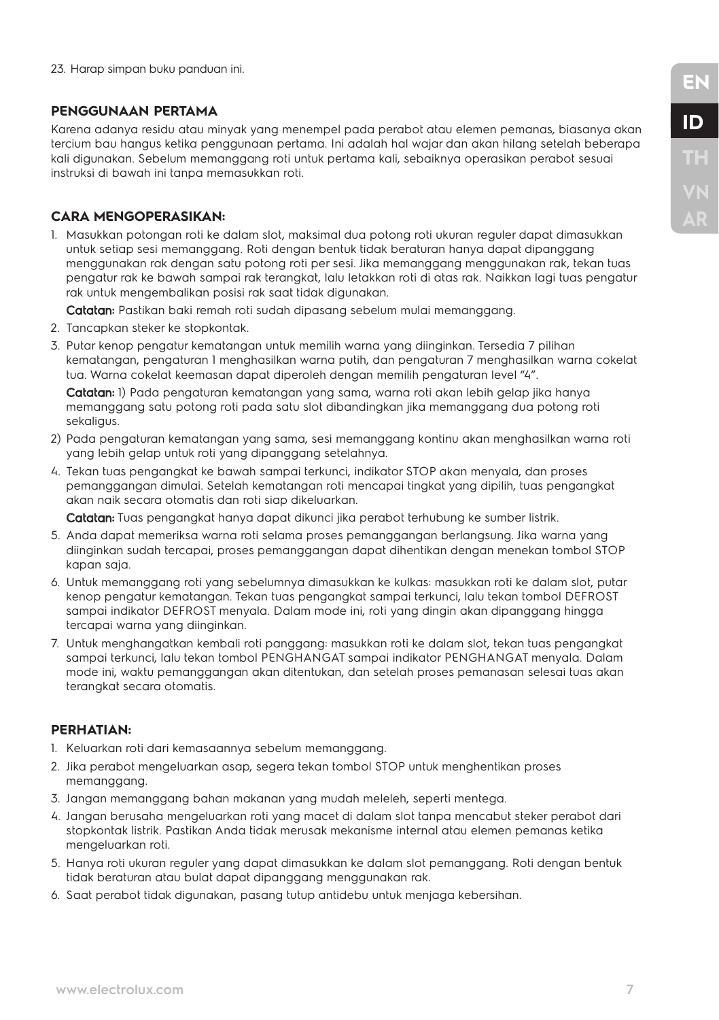#### **PENGGUNAAN PERTAMA**

Karena adanya residu atau minyak yang menempel pada perabot atau elemen pemanas, biasanya akan tercium bau hangus ketika penggunaan pertama. Ini adalah hal wajar dan akan hilang setelah beberapa kali digunakan. Sebelum memanggang roti untuk pertama kali, sebaiknya operasikan perabot sesuai instruksi di bawah ini tanpa memasukkan roti.

#### **CARA MENGOPERASIKAN:**

1. Masukkan potongan roti ke dalam slot, maksimal dua potong roti ukuran reguler dapat dimasukkan untuk setiap sesi memanggang. Roti dengan bentuk tidak beraturan hanya dapat dipanggang menggunakan rak dengan satu potong roti per sesi. Jika memanggang menggunakan rak, tekan tuas pengatur rak ke bawah sampai rak terangkat, lalu letakkan roti di atas rak. Naikkan lagi tuas pengatur rak untuk mengembalikan posisi rak saat tidak digunakan.

Catatan: Pastikan baki remah roti sudah dipasang sebelum mulai memanggang.

- 2. Tancapkan steker ke stopkontak.
- 3. Putar kenop pengatur kematangan untuk memilih warna yang diinginkan. Tersedia 7 pilihan kematangan, pengaturan 1 menghasilkan warna putih, dan pengaturan 7 menghasilkan warna cokelat tua. Warna cokelat keemasan dapat diperoleh dengan memilih pengaturan level "4".

Catatan: 1) Pada pengaturan kematangan yang sama, warna roti akan lebih gelap jika hanya memanggang satu potong roti pada satu slot dibandingkan jika memanggang dua potong roti sekaligus.

- 2) Pada pengaturan kematangan yang sama, sesi memanggang kontinu akan menghasilkan warna roti yang lebih gelap untuk roti yang dipanggang setelahnya.
- 4. Tekan tuas pengangkat ke bawah sampai terkunci, indikator STOP akan menyala, dan proses pemanggangan dimulai. Setelah kematangan roti mencapai tingkat yang dipilih, tuas pengangkat akan naik secara otomatis dan roti siap dikeluarkan.

Catatan: Tuas pengangkat hanya dapat dikunci jika perabot terhubung ke sumber listrik.

- 5. Anda dapat memeriksa warna roti selama proses pemanggangan berlangsung. Jika warna yang diinginkan sudah tercapai, proses pemanggangan dapat dihentikan dengan menekan tombol STOP kapan saja.
- 6. Untuk memanggang roti yang sebelumnya dimasukkan ke kulkas: masukkan roti ke dalam slot, putar kenop pengatur kematangan. Tekan tuas pengangkat sampai terkunci, lalu tekan tombol DEFROST sampai indikator DEFROST menyala. Dalam mode ini, roti yang dingin akan dipanggang hingga tercapai warna yang diinginkan.
- 7. Untuk menghangatkan kembali roti panggang: masukkan roti ke dalam slot, tekan tuas pengangkat sampai terkunci, lalu tekan tombol PENGHANGAT sampai indikator PENGHANGAT menyala. Dalam mode ini, waktu pemanggangan akan ditentukan, dan setelah proses pemanasan selesai tuas akan terangkat secara otomatis.

#### **PERHATIAN:**

- 1. Keluarkan roti dari kemasaannya sebelum memanggang.
- 2. Jika perabot mengeluarkan asap, segera tekan tombol STOP untuk menghentikan proses memanggang.
- 3. Jangan memanggang bahan makanan yang mudah meleleh, seperti mentega.
- 4. Jangan berusaha mengeluarkan roti yang macet di dalam slot tanpa mencabut steker perabot dari stopkontak listrik. Pastikan Anda tidak merusak mekanisme internal atau elemen pemanas ketika mengeluarkan roti.
- 5. Hanya roti ukuran reguler yang dapat dimasukkan ke dalam slot pemanggang. Roti dengan bentuk tidak beraturan atau bulat dapat dipanggang menggunakan rak.
- 6. Saat perabot tidak digunakan, pasang tutup antidebu untuk menjaga kebersihan.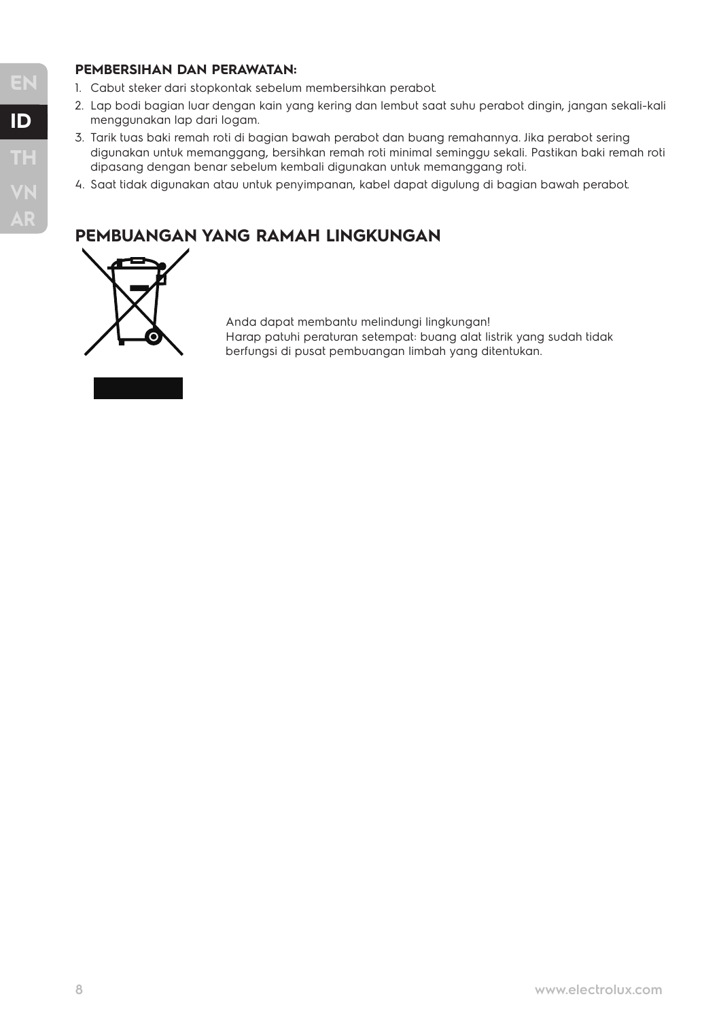# **ID**

# **PEMBERSIHAN DAN PERAWATAN:**

- 1. Cabut steker dari stopkontak sebelum membersihkan perabot.
- 2. Lap bodi bagian luar dengan kain yang kering dan lembut saat suhu perabot dingin, jangan sekali-kali menggunakan lap dari logam.
- 3. Tarik tuas baki remah roti di bagian bawah perabot dan buang remahannya. Jika perabot sering digunakan untuk memanggang, bersihkan remah roti minimal seminggu sekali. Pastikan baki remah roti dipasang dengan benar sebelum kembali digunakan untuk memanggang roti.
- 4. Saat tidak digunakan atau untuk penyimpanan, kabel dapat digulung di bagian bawah perabot.

# **PEMBUANGAN YANG RAMAH LINGKUNGAN**



Anda dapat membantu melindungi lingkungan! Harap patuhi peraturan setempat: buang alat listrik yang sudah tidak berfungsi di pusat pembuangan limbah yang ditentukan.

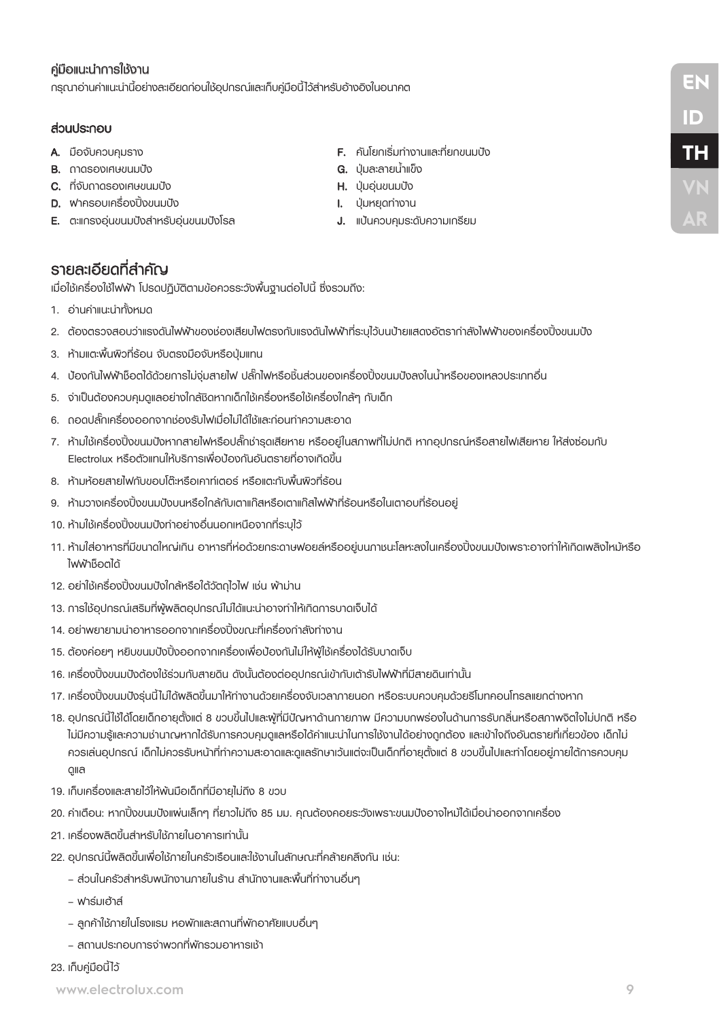# ค่มือแนะนำการใช้งาน

กรณาอ่านคำแนะนำนี้อย่างละเอียดก่อนใช้อปกรณ์และเก็บคู่มือนี้ไว้สำหรับอ้างอิงในอนาคต

#### ส่วนประกอบ

- A. มือจับควบคุมราง
- B. ถาดรองเศษขนมปัง
- C. ที่จับถาดรองเศษขนมปัง
- D. ฝาครอบเครื่องปิ้งขนมปัง
- E. ตะแกรงอุ่นขนมปังส�ำหรับอุ่นขนมปังโรล

# รายละเอียดที่ส�ำคัญ

เมื่อใช้เครื่องใช้ไฟฟ้า โปรดปฏิบัติตามข้อควรระวังพื้นฐานต่อไปนี้ ซึ่งรวมถึง:

- 1. อ่านคำแนะนำทั้งหมด
- 2. ต้องตรวจสอบว่าแรงดันไฟฟ้าของช่องเสียบไฟตรงกับแรงดันไฟฟ้าที่ระบไว้บนป้ายแสดงอัตรากำลังไฟฟ้าของเครื่องปิ้งขนมปัง
- 3. ห้ามแตะพื้นผิวที่ร้อน จับตรงมือจับหรือปุ่มแทน
- 4. ป้องกันไฟฟ้าช็อตได้ด้วยการไม่จุ่มสายไฟ ปลั๊กไฟหรือชิ้นส่วนของเครื่องปิ้งขนมปังลงในน�้ำหรือของเหลวประเภทอื่น
- 5. จำเป็นต้องควบคมดูแลอย่างใกล้ชิดหากเด็กใช้เครื่องหรือใช้เครื่องใกล้ๆ กับเด็ก
- 6. ถอดปลั๊กเครื่องออกจากช่องรับไฟเมื่อไม่ได้ใช้และก่อนท�ำความสะอาด
- 7. ห้ามใช้เครื่องปิ้งขนมปังหากสายไฟหรือปลั๊กชำรดเสียหาย หรืออยู่ในสภาพที่ไม่ปกติ หากอปกรณ์หรือสายไฟเสียหาย ให้ส่งซ่อมกับ Electrolux หรือตัวแทนให้บริการเพื่อป้องกันอันตรายที่อาจเกิดขึ้น
- 8. ห้ามห้อยสายไฟกับขอบโต๊ะหรือเคาท์เตอร์ หรือแตะกับพื้นผิวที่ร้อน
- 9. ห้ามวางเครื่องปิ้งขนมปังบนหรือใกล้กับเตาแก๊สหรือเตาแก๊สไฟฟ้าที่ร้อนหรือในเตาอบที่ร้อนอยู่
- 10. ห้ามใช้เครื่องปิ้งขนมปังท�ำอย่างอื่นนอกเหนือจากที่ระบุไว้
- 11. ห้ามใส่อาหารที่มีขนาดใหญ่เกิน อาหารที่ห่อด้วยกระดาษฟอยล์หรืออยู่บนภาชนะโลหะลงในเครื่องปิ้งขนมปังเพราะอาจทำให้เกิดเพลิงไหม้หรือ ไฟฟ้าช็อตได้
- 12. อย่าใช้เครื่องปิ้งขนมปังใกล้หรือใต้วัตถุไวไฟ เช่น ผ้าม่าน
- 13. การใช้อุปกรณ์เสริมที่พัพลิตอุปกรณ์ไม่ได้แนะนำอาจทำให้เกิดการบาดเจ็บได้
- 14. อย่าพยายามนำอาหารออกจากเครื่องปิ้งขณะที่เครื่องกำลังทำงาน
- 15. ต้องค่อยๆ หยิบขนมปังปิ้งออกจากเครื่องเพื่อป้องกันไม่ให้ผู้ใช้เครื่องได้รับบาดเจ็บ
- 16. เครื่องปิ้งขนมปังต้องใช้ร่วมกับสายดิน ดังนั้นต้องต่ออุปกรณ์เข้ากับเต้ารับไฟฟ้าที่มีสายดินเท่านั้น
- 17. เครื่องปิ้งขนมปังรุ่นนี้ไม่ได้พลิตขึ้นมาให้ทำงานด้วยเครื่องจับเวลาภายนอก หรือระบบควบคุมด้วยรีโมทคอนโทรลแยกต่างหาก
- 18. อุปกรณ์นี้ใช้ได้โดยเด็กอายุตั้งแต่ 8 ขวบขึ้นไปและผู้ที่มีปัญหาด้านกายภาพ มีความบกพร่องในด้านการรับกลิ่นหรือสภาพจิตใจไม่ปกติ หรือ ไม่มีความรัและความชำนาญหากได้รับการควบคุมดูแลหรือได้คำแนะนำในการใช้งานได้อย่างถูกต้อง และเข้าใจถึงอันตรายที่เกี่ยวข้อง เด็กไม่ ควรเล่นอุปกรณ์ เด็กไม่ควรรับหน้าที่ทำความสะอาดและดูแลรักษาเว้นแต่จะเป็นเด็กที่อายุตั้งแต่ 8 ขวบขึ้นไปและทำโดยอยู่ภายใต้การควบคุม ดูแล
- 19. เก็บเครื่องและสายไว้ให้พ้นมือเด็กที่มีอายุไม่ถึง 8 ขวบ
- 20. คำเตือน: หากปิ้งขนมปังแพ่นเล็กๆ ที่ยาวไม่ถึง 85 มม. คุณต้องคอยระวังเพราะขนมปังอาจไหม้ได้เมื่อนำออกจากเครื่อง
- 21. เครื่องพลิตขึ้นสำหรับใช้ภายในอาคารเท่านั้น
- 22. อุปกรณ์นี้ผลิตขึ้นเพื่อใช้ภายในครัวเรือนและใช้งานในลักษณะที่คล้ายคลึงกัน เช่น:
	- ส่วนในครัวสำหรับพนักงานภายในร้าน สำนักงานและพื้นที่ทำงานอื่นๆ
	- ฟาร์มเฮ้าส์
	- ลูกค้าใช้ภายในโรงแรม หอพักและสถานที่พักอาศัยแบบอื่นๆ
	- สถานประกอบการจำพวกที่พักรวมอาหารเช้า
- 23. เก็บคู่มือนี้ไว้
- F. คันโยกเริ่มท�ำงานและที่ยกขนมปัง
- G. ปุ่มละลายน้ำแข็ง
- H. ปุ่มอุ่นขนมปัง
- **I.** ปุ่มหยุดทำงาน
- J. แป้นควบคุมระดับความเกรียม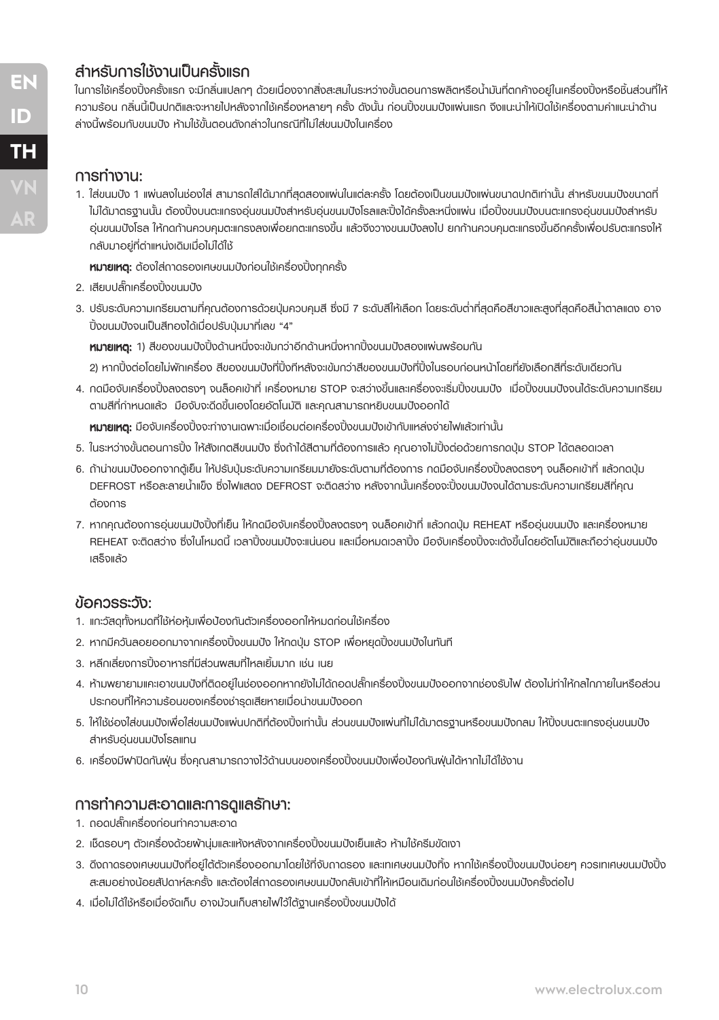# ส�ำหรับการใช้งานเป็นครั้งแรก

ในการใช้เครื่องปิ้งครั้งแรก จะมีกลิ่นแปลกๆ ด้วยเนื่องจากสิ่งสะสมในระหว่างขั้นตอนการพลิตหรือน้ำมันที่ตกค้างอยู่ในเครื่องปิ้งหรือชิ้นส่วนที่ให้ ความร้อน กลิ่นนี้เป็นปกติและจะหายไปหลังจากใช้เครื่องหลายๆ ครั้ง ดังนั้น ก่อนปิ้งขนมปังแพ่นแรก จึงแนะนำให้เปิดใช้เครื่องตามคำแนะนำด้าน ล่างนี้พร้อมกับขนมปัง ห้ามใช้ขั้นตอนดังกล่าวในกรณีที่ไม่ใส่ขนมปังในเครื่อง

ี**การทำงาน:**<br>1. ใส่ขนมปัง 1 แผ่นลงในช่องใส่ สามารถใส่ได้มากที่สุดสองแผ่นในแต่ละครั้ง โดยต้องเป็นขนมปังแผ่นขนาดปกติเท่านั้น สำหรับขนมปังขนาดที่ ไม่ได้มาตรฐานนั้น ต้องปิ้งบนตะแกรงอุ่นขนมปังส�ำหรับอุ่นขนมปังโรลและปิ้งได้ครั้งละหนึ่งแผ่น เมื่อปิ้งขนมปังบนตะแกรงอุ่นขนมปังส�ำหรับ อุ่นขนมปังโรล ให้กดก้านควบคุมตะแกรงลงเพื่อยกตะแกรงขึ้น แล้วจึงวางขนมปังลงไป ยกก้านควบคุมตะแกรงขึ้นอีกครั้งเพื่อปรับตะแกรงให้ กลับมาอยู่ที่ต�ำแหน่งเดิมเมื่อไม่ได้ใช้

หมายเหตุ: ต้องใส่ถาดรองเศษขนมปังก่อนใช้เครื่องปิ้งทุกครั้ง

- 2. เสียบปลั๊กเครื่องปิ้งขนมปัง
- 3. ปรับระดับความเกรียมตามที่คุณต้องการด้วยปุ่มควบคุมสี ซึ่งมี 7 ระดับสีให้เลือก โดยระดับต่ำที่สุดคือสีขาวและสูงที่สุดคือสีน้ำตาลแดง อาจ ปิ้งขนมปังจนเป็นสีทองได้เมื่อปรับปุ่มมาที่เลข "4"

หมายเหตุ: 1) สีของขนมปังปิ้งด้านหนึ่งจะเข้มกว่าอีกด้านหนึ่งหากปิ้งขนมปังสองแผ่นพร้อมกัน

2) หากปิ้งต่อโดยไม่พักเครื่อง สีของขนมปังที่ปิ้งทีหลังจะเข้มกว่าสีของขนมปังที่ปิ้งในรอบก่อนหน้าโดยที่ยังเลือกสีที่ระดับเดียวกัน

4. กดมือจับเครื่องปิ้งลงตรงๆ จนล็อคเข้าที่ เครื่องหมาย STOP จะสว่างขึ้นและเครื่องจะเริ่มปิ้งขนมปัง เมื่อปิ้งขนมปังจนได้ระดับความเกรียม ตามสีที่ก�ำหนดแล้ว มือจับจะดีดขึ้นเองโดยอัตโนมัติ และคุณสามารถหยิบขนมปังออกได้

หมายเหตุ: มือจับเครื่องปิ้งจะท�ำงานเฉพาะเมื่อเชื่อมต่อเครื่องปิ้งขนมปังเข้ากับแหล่งจ่ายไฟแล้วเท่านั้น

- 5. ในระหว่างขั้นตอนการปิ้ง ให้สังเกตสีขนมปัง ซึ่งถ้าได้สีตามที่ต้องการแล้ว คุณอาจไม่ปิ้งต่อด้วยการกดปุ่ม STOP ได้ตลอดเวลา
- 6. ถ้าน�ำขนมปังออกจากตู้เย็น ให้ปรับปุ่มระดับความเกรียมมายังระดับตามที่ต้องการ กดมือจับเครื่องปิ้งลงตรงๆ จนล็อคเข้าที่ แล้วกดปุ่ม DEFROST หรือละลายน�้ำแข็ง ซึ่งไฟแสดง DEFROST จะติดสว่าง หลังจากนั้นเครื่องจะปิ้งขนมปังจนได้ตามระดับความเกรียมสีที่คุณ ต้องการ
- 7. หากคุณต้องการอุ่นขนมปังปิ้งที่เย็น ให้กดมือจับเครื่องปิ้งลงตรงๆ จนล็อคเข้าที่ แล้วกดปุ่ม REHEAT หรืออุ่นขนมปัง และเครื่องหมาย REHEAT จะติดสว่าง ซึ่งในโหมดนี้ เวลาปิ้งขนมปังจะแน่นอน และเมื่อหมดเวลาปิ้ง มือจับเครื่องปิ้งจะเด้งขึ้นโดยอัตโนมัติและถือว่าอุ่นขนมปัง เสร็จแล้ว

# ข้อควรระวัง:

- 1. แกะวัสดุทั้งหมดที่ใช้ห่อหุ้มเพื่อป้องกันตัวเครื่องออกให้หมดก่อนใช้เครื่อง
- 2. หากมีควันลอยออกมาจากเครื่องปิ้งขนมปัง ให้กดปุ่ม STOP เพื่อหยุดปิ้งขนมปังในทันที
- 3. หลีกเลี่ยงการปิ้งอาหารที่มีส่วนผสมที่ไหลเยิ้มมาก เช่น เนย
- 4. ห้ามพยายามแคะเอาขนมปังที่ติดอยู่ในช่องออกหากยังไม่ได้ถอดปลั๊กเครื่องปิ้งขนมปังออกจากช่องรับไฟ ต้องไม่ท�ำให้กลไกภายในหรือส่วน ประกอบที่ให้ความร้อนของเครื่องชำรดเสียหายเมื่อนำขนมปังออก
- 5. ให้ใช้ช่องใส่ขนมปังเพื่อใส่ขนมปังแผ่นปกติที่ต้องปิ้งเท่านั้น ส่วนขนมปังแผ่นที่ไม่ได้มาตรฐานหรือขนมปังกลม ให้ปิ้งบนตะแกรงอุ่นขนมปัง ส�ำหรับอุ่นขนมปังโรลแทน
- 6. เครื่องมีฝาปิดกันฝุ่น ซึ่งคุณสามารถวางไว้ด้านบนของเครื่องปิ้งขนมปังเพื่อป้องกันฝุ่นได้หากไม่ได้ใช้งาน

# การทำความสะอาดและการดูแลรักษา:<br>1. ถอดปลั๊กเครื่องก่อนทำความสะอาด

- 
- 2. เช็ดรอบๆ ตัวเครื่องด้วยผ้านุ่มและแห้งหลังจากเครื่องปิ้งขนมปังเย็นแล้ว ห้ามใช้ครีมขัดเงา
- 3. ดึงถาดรองเศษขนมปังที่อยู่ใต้ตัวเครื่องออกมาโดยใช้ที่จับถาดรอง และเทเศษขนมปังทิ้ง หากใช้เครื่องปิ้งขนมปังบ่อยๆ ควรเทเศษขนมปังปิ้ง สะสมอย่างน้อยสัปดาห์ละครั้ง และต้องใส่ถาดรองเศษขนมปังกลับเข้าที่ให้เหมือนเดิมก่อนใช้เครื่องปิ้งขนมปังครั้งต่อไป
- 4. เมื่อไม่ได้ใช้หรือเมื่อจัดเก็บ อาจม้วนเก็บสายไฟไว้ใต้ฐานเครื่องปิ้งขนมปังได้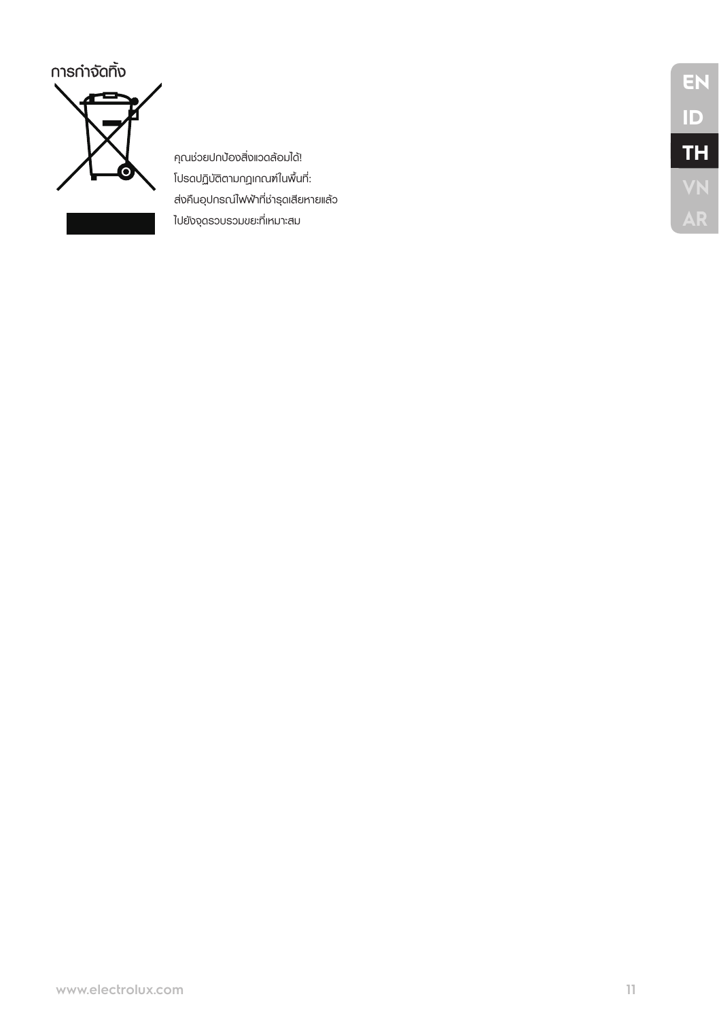# การก�ำจัดทิ้ง



คุณช่วยปกป้องสิ่งแวดล้อมได้!  $\sum_{\text{[Usa} \cup \text{Jy}\bar{\text{C}}\bar{\text{C}}\text{C}}$ ส่งคืนอุปกรณ์ไฟฟ้าที่ชำรุดเสียหายแล้ว ไปยังจุดรวบรวมขยะที่เหมาะสม

**AR VN EN ID TH**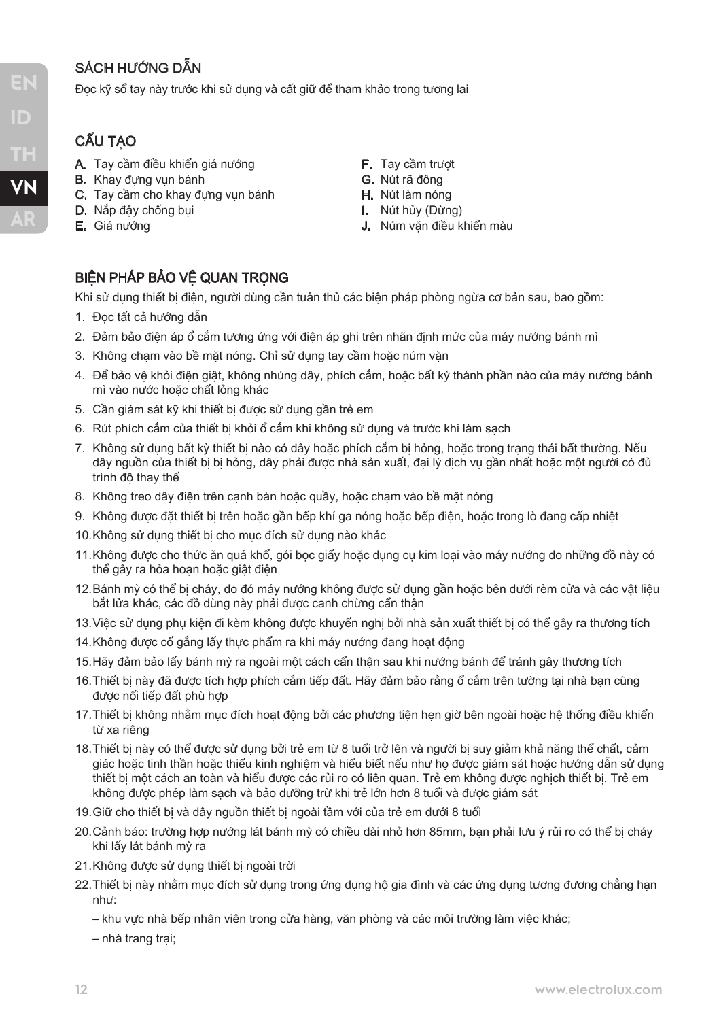# SÁCH HƯỚNG DẦN

Đọc kỹ sổ tay này trước khi sử dụng và cất giữ để tham khảo trong tương lai

# CẤU TAO

- A. Tay cầm điều khiển giá nướng
- B. Khay đưng vun bánh
- C. Tay cầm cho khay đưng vun bánh
- D. Nắp đây chống bui
- E. Giá nướng
- F. Tay cầm trượt
- G. Nút rã đông
- H. Nút làm nóng
- I. Nút hủy (Dừng)
- J. Núm vặn điều khiển màu

# BIÊN PHÁP BẢO VỀ QUAN TRONG

Khi sử dụng thiết bị điện, người dùng cần tuân thủ các biện pháp phòng ngừa cơ bản sau, bao gồm:

- 1. Đọc tất cả hướng dẫn
- 2. Đảm bảo điện áp ổ cắm tương ứng với điện áp ghi trên nhãn định mức của máy nướng bánh mì
- 3. Không chạm vào bề mặt nóng. Chỉ sử dụng tay cầm hoặc núm văn
- 4. Để bảo vệ khỏi điện giật, không nhúng dây, phích cắm, hoặc bất kỳ thành phần nào của máy nướng bánh mì vào nước hoặc chất lỏng khác
- 5. Cần giám sát kỹ khi thiết bị được sử dụng gần trẻ em
- 6. Rút phích cắm của thiết bị khỏi ổ cắm khi không sử dụng và trước khi làm sạch
- 7. Không sử dung bất kỳ thiết bị nào có dây hoặc phích cắm bị hỏng, hoặc trong trạng thái bất thường. Nếu dây nguồn của thiết bị bị hỏng, dây phải được nhà sản xuất, đại lý dịch vụ gần nhất hoặc một người có đủ trình độ thay thế
- 8. Không treo dây điện trên cạnh bàn hoặc quầy, hoặc chạm vào bề mặt nóng
- 9. Không được đặt thiết bị trên hoặc gần bếp khí ga nóng hoặc bếp điện, hoặc trong lò đang cấp nhiệt
- 10.Không sử dụng thiết bị cho mục đích sử dụng nào khác
- 11.Không được cho thức ăn quá khổ, gói bọc giấy hoặc dụng cụ kim loại vào máy nướng do những đồ này có thể gây ra hỏa hoạn hoặc giật điện
- 12.Bánh mỳ có thể bị cháy, do đó máy nướng không được sử dụng gần hoặc bên dưới rèm cửa và các vật liệu bắt lửa khác, các đồ dùng này phải được canh chừng cẩn thận
- 13.Việc sử dụng phụ kiện đi kèm không được khuyến nghị bởi nhà sản xuất thiết bị có thể gây ra thương tích
- 14.Không được cố gắng lấy thực phẩm ra khi máy nướng đang hoạt động
- 15.Hãy đảm bảo lấy bánh mỳ ra ngoài một cách cẩn thận sau khi nướng bánh để tránh gây thương tích
- 16.Thiết bị này đã được tích hợp phích cắm tiếp đất. Hãy đảm bảo rằng ổ cắm trên tường tại nhà bạn cũng được nối tiếp đất phù hợp
- 17. Thiết bị không nhằm mục đích hoạt đông bởi các phương tiên hẹn giờ bên ngoài hoặc hệ thống điều khiển từ xa riêng
- 18.Thiết bị này có thể được sử dụng bởi trẻ em từ 8 tuổi trở lên và người bị suy giảm khả năng thể chất, cảm giác hoặc tinh thần hoặc thiếu kinh nghiệm và hiểu biết nếu như họ được giám sát hoặc hướng dẫn sử dụng thiết bị một cách an toàn và hiểu được các rủi ro có liên quan. Trẻ em không được nghịch thiết bị. Trẻ em không được phép làm sạch và bảo dưỡng trừ khi trẻ lớn hơn 8 tuổi và được giám sát
- 19.Giữ cho thiết bị và dây nguồn thiết bị ngoài tầm với của trẻ em dưới 8 tuổi
- 20.Cảnh báo: trường hợp nướng lát bánh mỳ có chiều dài nhỏ hơn 85mm, bạn phải lưu ý rủi ro có thể bị cháy khi lấy lát bánh mỳ ra
- 21.Không được sử dụng thiết bị ngoài trời
- 22. Thiết bị này nhằm mục đích sử dụng trong ứng dụng hô gia đình và các ứng dụng tương đương chẳng hạn như:
	- khu vực nhà bếp nhân viên trong cửa hàng, văn phòng và các môi trường làm việc khác;
	- nhà trang trại;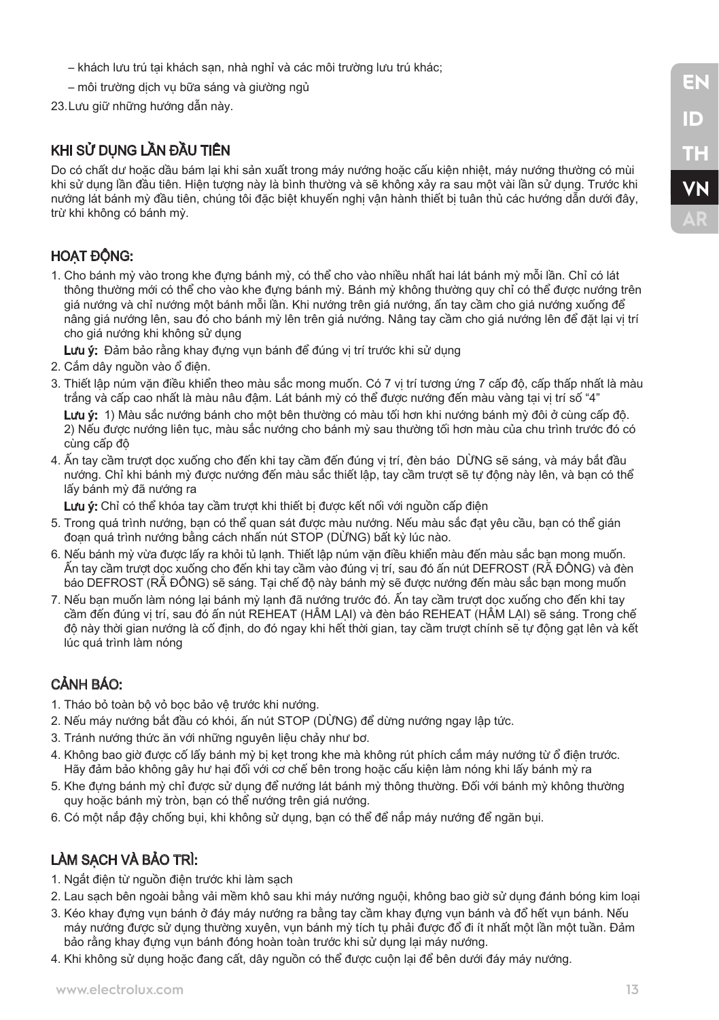- khách lưu trú tại khách sạn, nhà nghỉ và các môi trường lưu trú khác;
- môi trường dịch vụ bữa sáng và giường ngủ

23.Lưu giữ những hướng dẫn này.

# KHI SỬ DỤNG LẦN ĐẦU TIÊN

Do có chất dư hoặc dầu bám lại khi sản xuất trong máy nướng hoặc cấu kiện nhiệt, máy nướng thường có mùi khi sử dụng lần đầu tiên. Hiện tượng này là bình thường và sẽ không xảy ra sau một vài lần sử dụng. Trước khi nướng lát bánh mỳ đầu tiên, chúng tôi đặc biệt khuyến nghị vận hành thiết bị tuân thủ các hướng dẫn dưới đây, trừ khi không có bánh mỳ.

# HOAT ĐỒNG:

1. Cho bánh mỳ vào trong khe đựng bánh mỳ, có thể cho vào nhiều nhất hai lát bánh mỳ mỗi lần. Chỉ có lát thông thường mới có thể cho vào khe đựng bánh mỳ. Bánh mỳ không thường quy chỉ có thể được nướng trên giá nướng và chỉ nướng một bánh mỗi lần. Khi nướng trên giá nướng, ấn tay cầm cho giá nướng xuống để nâng giá nướng lên, sau đó cho bánh mỳ lên trên giá nướng. Nâng tay cầm cho giá nướng lên để đặt lại vị trí cho giá nướng khi không sử dụng

Lưu ý: Đảm bảo rằng khay đưng vun bánh để đúng vi trí trước khi sử dung

- 2. Cắm dây nguồn vào ổ điện.
- 3. Thiết lập núm vặn điều khiển theo màu sắc mong muốn. Có 7 vị trí tương ứng 7 cấp độ, cấp thấp nhất là màu trắng và cấp cao nhất là màu nâu đậm. Lát bánh mỳ có thể được nướng đến màu vàng tại vị trí số "4"

Lưu ý: 1) Màu sắc nướng bánh cho một bên thường có màu tối hơn khi nướng bánh mỳ đôi ở cùng cấp độ. 2) Nếu được nướng liên tục, màu sắc nướng cho bánh mỳ sau thường tối hơn màu của chu trình trước đó có cùng cấp độ

4. Ấn tay cầm trượt dọc xuống cho đến khi tay cầm đến đúng vị trí, đèn báo DỪNG sẽ sáng, và máy bắt đầu nướng. Chỉ khi bánh mỳ được nướng đến màu sắc thiết lập, tay cầm trượt sẽ tự động này lên, và bạn có thể lấy bánh mỳ đã nướng ra

Lưu ý: Chỉ có thể khóa tay cầm trượt khi thiết bị được kết nối với nguồn cấp điện

- 5. Trong quá trình nướng, bạn có thể quan sát được màu nướng. Nếu màu sắc đạt yêu cầu, bạn có thể gián đoạn quá trình nướng bằng cách nhấn nút STOP (DỪNG) bất kỳ lúc nào.
- 6. Nếu bánh mỳ vừa được lấy ra khỏi tủ lạnh. Thiết lập núm vặn điều khiển màu đến màu sắc bạn mong muốn. Ấn tay cầm trượt dọc xuống cho đến khi tay cầm vào đúng vị trí, sau đó ấn nút DEFROST (RÃ ĐÔNG) và đèn báo DEFROST (RÃ ĐÔNG) sẽ sáng. Tại chế độ này bánh mỳ sẽ được nướng đến màu sắc bạn mong muốn
- 7. Nếu bạn muốn làm nóng lại bánh mỳ lạnh đã nướng trước đó. Ấn tay cầm trượt dọc xuống cho đến khi tay cầm đến đúng vi trí, sau đó ấn nút REHEAT (HÂM LAI) và đèn báo REHEAT (HÂM LAI) sẽ sáng. Trong chế độ này thời gian nướng là cố định, do đó ngay khi hết thời gian, tay cầm trượt chính sẽ tự động gạt lên và kết lúc quá trình làm nóng

# CẢNH BÁO:

- 1. Tháo bỏ toàn bộ vỏ bọc bảo vệ trước khi nướng.
- 2. Nếu máy nướng bắt đầu có khói, ấn nút STOP (DỪNG) để dừng nướng ngay lập tức.
- 3. Tránh nướng thức ăn với những nguyên liệu chảy như bơ.
- 4. Không bao giờ được cố lấy bánh mỳ bị ket trong khe mà không rút phích cắm máy nướng từ ổ điện trước. Hãy đảm bảo không gây hư hại đối với cơ chế bên trong hoặc cấu kiện làm nóng khi lấy bánh mỳ ra
- 5. Khe đựng bánh mỳ chỉ được sử dụng để nướng lát bánh mỳ thông thường. Đối với bánh mỳ không thường quy hoặc bánh mỳ tròn, bạn có thể nướng trên giá nướng.
- 6. Có một nắp đậy chống bụi, khi không sử dụng, bạn có thể để nắp máy nướng để ngăn bụi.

# LÀM SẠCH VÀ BẢO TRÌ:

- 1. Ngắt điện từ nguồn điện trước khi làm sạch
- 2. Lau sạch bên ngoài bằng vải mềm khô sau khi máy nướng nguội, không bao giờ sử dụng đánh bóng kim loại
- 3. Kéo khay đựng vụn bánh ở đáy máy nướng ra bằng tay cầm khay đựng vụn bánh và đổ hết vụn bánh. Nếu máy nướng được sử dụng thường xuyên, vụn bánh mỳ tích tụ phải được đổ đi ít nhất một lần một tuần. Đảm bảo rằng khay đựng vụn bánh đóng hoàn toàn trước khi sử dụng lại máy nướng.
- 4. Khi không sử dụng hoặc đang cất, dây nguồn có thể được cuộn lại để bên dưới đáy máy nướng.

**EN**

**ID**

**TH**

**VN**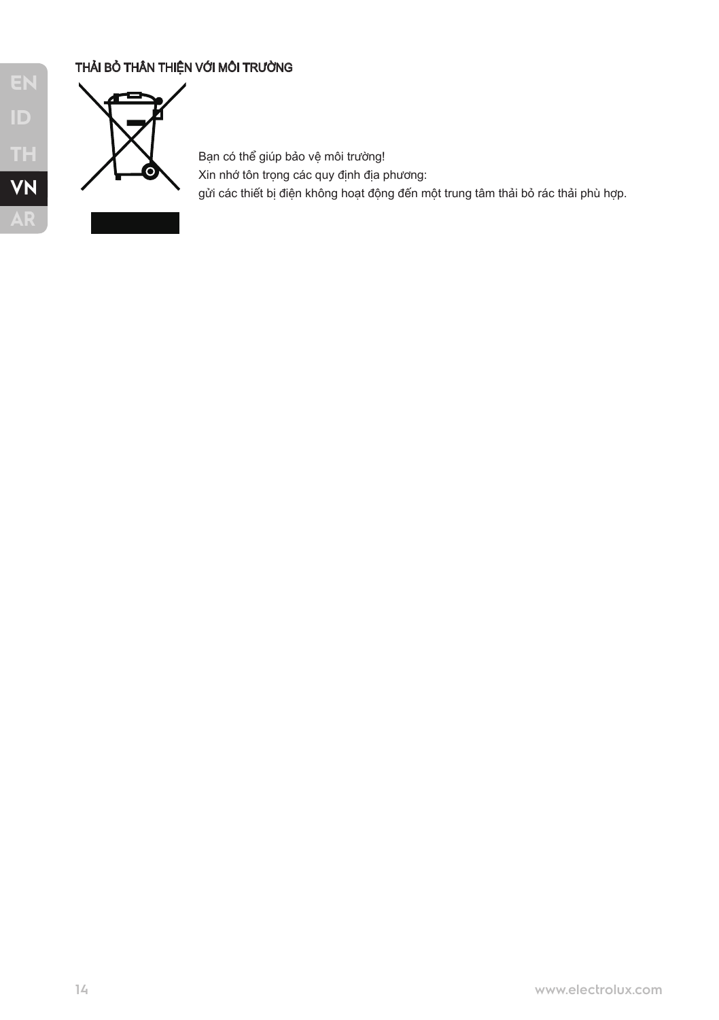# THẢI BỎ THÂN THIỆN VỚI MÔI TRƯỜNG



Bạn có thể giúp bảo vệ môi trường! Xin nhớ tôn trọng các quy định địa phương: gửi các thiết bị điện không hoạt động đến một trung tâm thải bỏ rác thải phù hợp.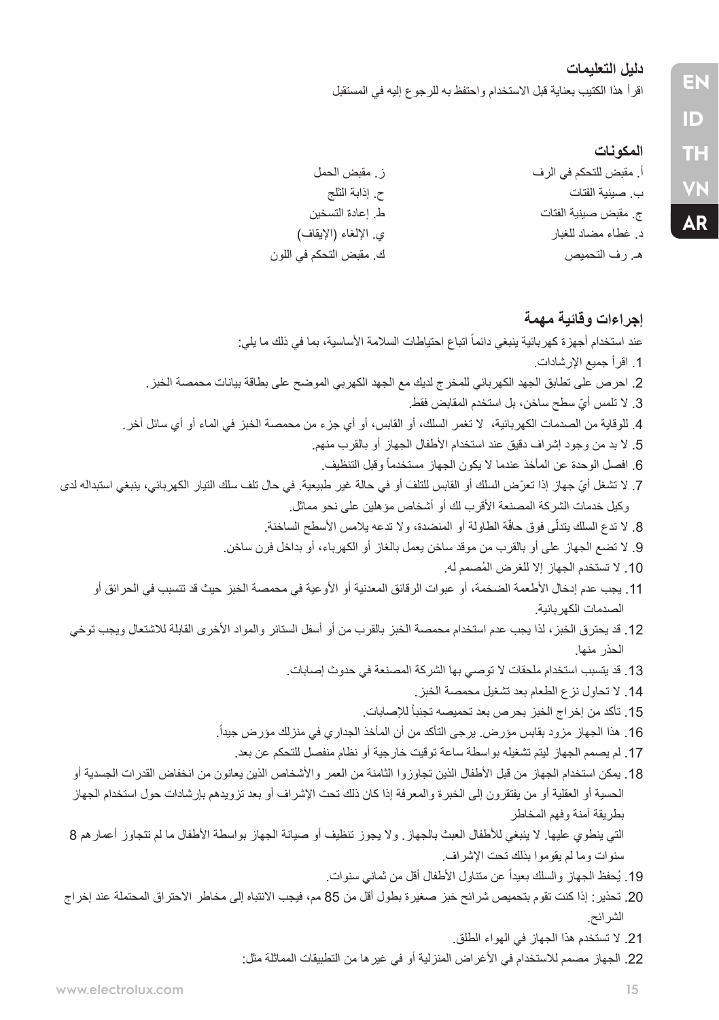# **دليل التعليمات**

اقرأ هذا الكتيب بعناية قبل االستخدام واحتفظ به للرجوع إليه في المستقبل

#### **المكونات**

| ز . مقبض الحمل          | أ. مقبض للتحكم في الرف |
|-------------------------|------------------------|
| ح. إذابة الثلج          | ب. صينية الفتات        |
| ط إعادة التسخين         | ج. مقبض صينية الفتات   |
| ي الإلغاء (الإيقاف)     | د غطاء مضاد للغبار     |
| ك. مقبض التحكم في اللون | هـ. رف التحميص         |

# **إجراءات وقائية مهمة**

- عند استخدام أجهزة كهربائية ينبغي دائماً اتباع احتياطات السلامة الأساسية، بما في ذلك ما يلي: .1 اقرأ جميع اإلرشادات. .2 احرص على تطابق الجهد الكهربائي للمخرج لديك مع الجهد الكهربي الموضح على بطاقة بيانات محمصة الخبز. 3. لا تلمس أيّ سطح ساخن، بل استخدم المقابض فقط. .4 للوقاية من الصدمات الكهربائية، ال تغمر السلك، أو القابس، أو أي جزء من محمصة الخبز في الماء أو أي سائل آخر. 5. لا بد من وجود إشراف دقيق عند استخدام الأطفال الجهاز أو بالقرب منهم. 6. افصل الوحدة عن المأخذ عندما لا يكون الجهاز مستخدماً وقبل التنظيف 7. لا تشغل أيّ جهاز إذا تعرّض السلك أو القابس للتلفّ أو في حالة غير طبيعية. في حال تلف سلك التيار الكهربائي، ينبغي استبداله لدى وكيل خدمات الشركة المصنعة األقرب لك أو أشخاص مؤهلين على نحو مماثل. 8. لا تدع السلك يتدلّى فوق حافّة الطاولة أو المنضدة، ولا تدعه يلامس الأسطح الساخنة. .9 ال تضع الجهاز على أو بالقرب من موقد ساخن يعمل بالغاز أو الكهرباء، أو بداخل فرن ساخن. 10 ُ . ال تستخدم الجهاز إال للغرض المصمم له. .11 يجب عدم إدخال األطعمة الضخمة، أو عبوات الرقائق المعدنية أو األوعية في محمصة الخبز حيث قد تتسبب في الحرائق أو الصدمات الكهربائية. .12 قد يحترق الخبز، لذا يجب عدم استخدام محمصة الخبز بالقرب من أو أسفل الستائر والمواد األخرى القابلة لالشتعال ويجب توخي الحذر منها. .13 قد يتسبب استخدام ملحقات ال توصي بها الشركة المصنعة في حدوث إصابات. .14 ال تحاول نزع الطعام بعد تشغيل محمصة الخبز. 15. تأكد من إخراج الخبز بحرص بعد تحميصه تجنبأ للإصابات. .ً .16 هذا الجهاز مزود بقابس مؤرض. يرجى التأكد من أن المأخذ الجداري في منزلك مؤرض جيدا .17 لم يصمم الجهاز ليتم تشغيله بواسطة ساعة توقيت خارجية أو نظام منفصل للتحكم عن بعد. 18. يمكن استخدام الجهاز من قبل الأطفال الذين تجاوزوا الثامنة من العمر والأشخاص الذين يعانون من انخفاض القدرات الجسدية أو الحسية أو العقلية أو من يفتقرون إلى الخبرة والمعرفة إذا كان ذلك تحت اإلشراف أو بعد تزويدهم بإرشادات حول استخدام الجهاز بطريقة آمنة وفهم المخاطر التي ينطوي عليها. ال ينبغي لألطفال العبث بالجهاز. وال يجوز تنظيف أو صيانة الجهاز بواسطة األطفال ما لم تتجاوز أعمارهم 8 سنوات وما لم يقوموا بذلك تحت اإلشراف. 19. يُحفظ الجهاز والسلك بعيداً عن متناول الأطفال أقل من ثماني سنوات. .20 تحذير: إذا كنت تقوم بتحميص شرائح خبز صغيرة بطول أقل من 85 مم، فيجب االنتباه إلى مخاطر االحتراق المحتملة عند إخراج الشرائح. .21 ال تستخدم هذا الجهاز في الهواء الطلق.
	- 22. الجهاز مصمم للاستخدام في الأغر اض المنز لية أو في غير ها من التطبيقات المماثلة مثل:

**EN ID TH VN AR**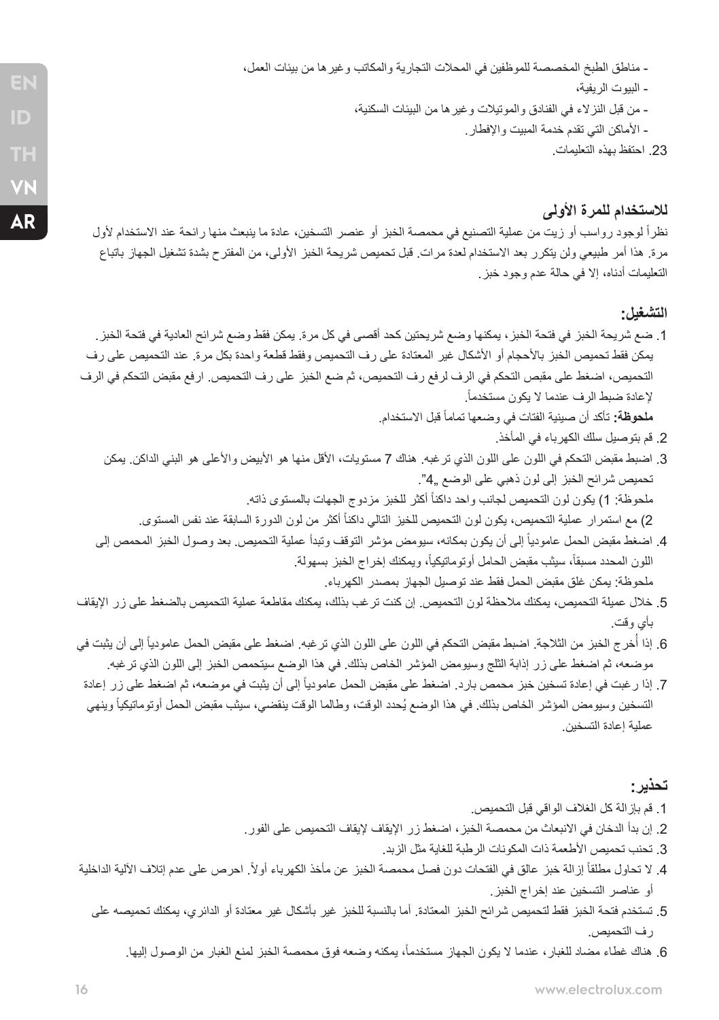- مناطق الطبخ المخصصة للموظفين في المحالت التجارية والمكاتب وغيرها من بيئات العمل، - البيوت الريفية، - من قبل النزالء في الفنادق والموتيالت وغيرها من البيئات السكنية، - األماكن التي تقدم خدمة المبيت واإلفطار.

.23 احتفظ بهذه التعليمات.

# **لالستخدام للمرة األولى**

نظراً لوجود رواسب أو زيت من عملية التصنيع في محمصة الخبز أو عنصر التسخين، عادة ما ينبعث منها رائحة عند الاستخدام لأول مرة. هذا أمر طبيعي ولن يتكرر بعد االستخدام لعدة مرات. قبل تحميص شريحة الخبز األولى، من المفترح بشدة تشغيل الجهاز باتباع التعليمات أدناه، إال في حالة عدم وجود خبز.

#### **التشغيل:**

.1 ضع شريحة الخبز في فتحة الخبز، يمكنها وضع شريحتين كحد أقصى في كل مرة. يمكن فقط وضع شرائح العادية في فتحة الخبز. يمكن فقط تحميص الخبز باألحجام أو األشكال غير المعتادة على رف التحميص وفقط قطعة واحدة بكل مرة. عند التحميص على رف التحميص، اضغط على مقبص التحكم في الرف لرفع رف التحميص، ثم ضع الخبز على رف التحميص. ارفع مقبض التحكم في الرف .ً إلعادة ضبط الرف عندما ال يكون مستخدما

**ملحوظة:** تأكد أن صينية الفتات في وضعها تماماً قبل الاستخدام.

- .2 قم بتوصيل سلك الكهرباء في المأخذ.
- 3. اضبط مقبض التحكم في اللون على اللون الذي ترغبه. هناك 7 مستويات، الأقل منها هو الأبيض والأعلى هو البني الداكن. يمكن تحميص شرائح الخبز إلى لون ذهبي على الوضع "4". ملحوظة: 1) يكون لون التحميص لجانب واحد داكناً أكثر للخبز مزدوج الجهات بالمستوى ذاته.
	- 2) مع استمر ار عملية التحميص، يكون لون التحميص للخيز التالي داكنـاً أكثر من لون الدورة السابقة عند نفس المستوى<sub>.</sub>
- 4. اضغط مقبض الحمل عامودياً إلى أن يكون بمكانه، سيومض مؤشر التوقف وتبدأ عملية التحميص. بعد وصول الخبز المحمص إلى اللون المحدد مسبقاً، سيثب مقبض الحامل أوتوماتيكياً، ويمكنك إخراج الخبز بسهولة. ملحوظة: يمكن غلق مقبض الحمل فقط عند توصيل الجهاز بمصدر الكهرباء.
- .5 خالل عميلة التحميص، يمكنك مالحظة لون التحميص. إن كنت ترغب بذلك، يمكنك مقاطعة عملية التحميص بالضغط على زر اإليقاف بأي وقت.
- 6. إذا أُخرج الخبز من الثلاجة. اضبط مقبض التحكم في اللون على اللون الذي تر غبه. اضغط على مقبض الحمل عامودياً إلى أن يثبت في موضعه، ثم اضغط على زر إذابة الثلج وسيومض المؤشر الخاص بذلك. في هذا الوضع سيتحمص الخبز إلى اللون الذي ترغبه.
- 7. إذا رغبت في إعادة تسخين خبز محمص بارد. اضغط على مقبض الحمل عامودياً إلى أن يثبت في موضعه، ثم اضغط على زر إعادة التسخين وسيومض المؤشر الخاص بذلك. في هذا الوضع يُحدد الوقت، وطالما الوقت ينقضي، سيثب مقبض الحمل أوتوماتيكياً وينهي عملية إعادة التسخين.

#### **تحذير:**

- .1 قم بإزالة كل الغالف الواقي قبل التحميص.
- .2 إن بدأ الدخان في االنبعاث من محمصة الخبز، اضغط زر اإليقاف إليقاف التحميص على الفور.
	- 3. تحنب تحميص الأطعمة ذات المكونات الرطبة للغاية مثل الزبد.
- 4. لا تحاول مطلقاً إزالة خبز عالق في الفتحات دون فصل محمصة الخبز عن مأخذ الكهرباء أولاً. احرص على عدم إتلاف الألية الداخلية أو عناصر التسخين عند إخراج الخبز.
	- .5 تستخدم فتحة الخبز فقط لتحميص شرائح الخبز المعتادة. أما بالنسبة للخبز غير بأشكال غير معتادة أو الدائري، يمكنك تحميصه على رف التحميص.
		- 6. هناك غطاء مضاد للغبار، عندما لا يكون الجهاز مستخدماً، يمكنه وضعه فوق محمصة الخبز لمنع الغبار من الوصول إليها.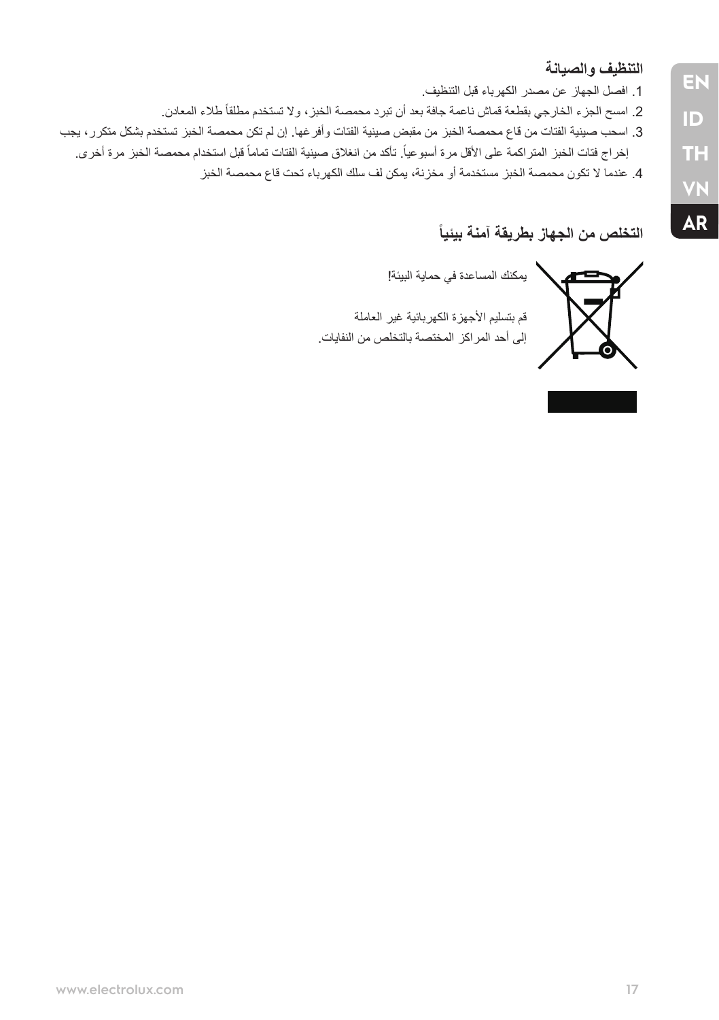# **التنظيف والصيانة**

- .1 افصل الجهاز عن مصدر الكهرباء قبل التنظيف.
- 2. امسح الجزء الخارجي بقطعة قماش ناعمة جافة بعد أن تبرد محمصة الخبز، ولا تستخدم مطلقاً طلاء المعادن.
- .3 اسحب صينية الفتات من قاع محمصة الخبز من مقبض صينية الفتات وأفرغها. إن لم تكن محمصة الخبز تستخدم بشكل متكرر، يجب إخراج فتات الخبز المتراكمة على الأقل مرة أسبوعياً. تأكد من انغلاق صينية الفتات تماماً قبل استخدام محمصة الخبز مرة أخرى
	- .4 عندما ال تكون محمصة الخبز مستخدمة أو مخزنة، يمكن لف سلك الكهرباء تحت قاع محمصة الخبز

# **التخلص من الجهاز بطريقة آمنة بيئيا**



يمكنك المساعدة في حماية البيئة!

قم بتسليم الأجهزة الكهربائية غير العاملة إلى أحد المراكز المختصة بالتخلص من النفايات.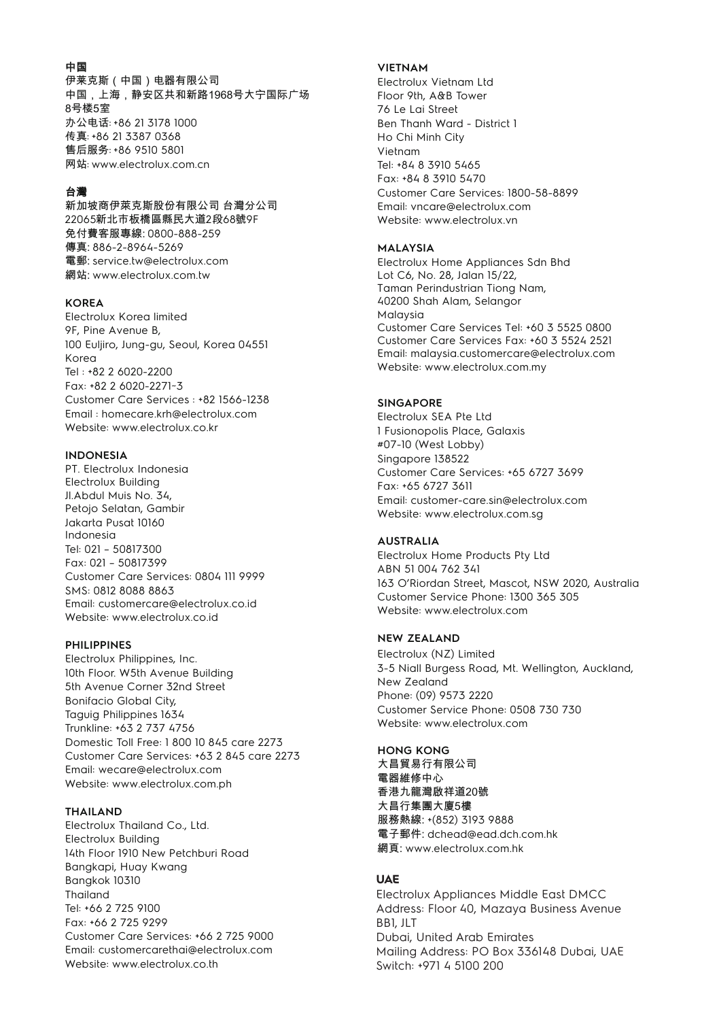#### 中国

伊莱克斯(中国)电器有限公司 中国,上海,静安区共和新路1968号大宁国际广场 8号楼5室 办公电话: +86 21 3178 1000 传真: +86 21 3387 0368 售后服务: +86 9510 5801 网站: www.electrolux.com.cn

#### 台灣

新加坡商伊萊克斯股份有限公司 台灣分公司 22065新北市板橋區縣民大道2段68號9F 免付費客服專線: 0800-888-259 傳真: 886-2-8964-5269 電郵: service.tw@electrolux.com 網站: www.electrolux.com.tw

#### **KOREA**

Electrolux Korea limited 9F, Pine Avenue B, 100 Euljiro, Jung-gu, Seoul, Korea 04551 Korea Tel : +82 2 6020-2200 Fax: +82 2 6020-2271~3 Customer Care Services : +82 1566-1238 Email : homecare.krh@electrolux.com Website: www.electrolux.co.kr

#### **INDONESIA**

Indonesia Tel: 021 – 50817300 Fax: 021 – 50817399 Customer Care Services: 0804 111 9999 SMS: 0812 8088 8863 Email: customercare@electrolux.co.id Website: www.electrolux.co.id PT. Electrolux Indonesia Electrolux Building Jl.Abdul Muis No. 34, Petojo Selatan, Gambir Jakarta Pusat 10160

#### **PHILIPPINES**

Electrolux Philippines, Inc. 10th Floor. W5th Avenue Building 5th Avenue Corner 32nd Street Bonifacio Global City, Taguig Philippines 1634 Trunkline: +63 2 737 4756 Domestic Toll Free: 1 800 10 845 care 2273 Customer Care Services: +63 2 845 care 2273 Email: wecare@electrolux.com Website: www.electrolux.com.ph

#### **THAILAND**

Electrolux Thailand Co., Ltd. Electrolux Building 14th Floor 1910 New Petchburi Road Bangkapi, Huay Kwang Bangkok 10310 Thailand Tel: +66 2 725 9100 Fax: +66 2 725 9299 Customer Care Services: +66 2 725 9000 Email: customercarethai@electrolux.com Website: www.electrolux.co.th

#### **VIETNAM**

Electrolux Vietnam Ltd Floor 9th, A&B Tower 76 Le Lai Street Ben Thanh Ward - District 1 Ho Chi Minh City Vietnam Tel: +84 8 3910 5465 Fax: +84 8 3910 5470 Customer Care Services: 1800-58-8899 Email: vncare@electrolux.com Website: www.electrolux.vn

#### **MALAYSIA**

Electrolux Home Appliances Sdn Bhd Lot C6, No. 28, Jalan 15/22, Taman Perindustrian Tiong Nam, 40200 Shah Alam, Selangor Malaysia Customer Care Services Tel: +60 3 5525 0800 Customer Care Services Fax: +60 3 5524 2521 Email: malaysia.customercare@electrolux.com Website: www.electrolux.com.my

#### **SINGAPORE**

Electrolux SEA Pte Ltd 1 Fusionopolis Place, Galaxis #07-10 (West Lobby) Singapore 138522 Customer Care Services: +65 6727 3699 Fax: +65 6727 3611 Email: customer-care.sin@electrolux.com Website: www.electrolux.com.sg

#### **AUSTRALIA**

Electrolux Home Products Pty Ltd ABN 51 004 762 341 163 O'Riordan Street, Mascot, NSW 2020, Australia Customer Service Phone: 1300 365 305 Website: www.electrolux.com

#### **NEW ZEALAND**

Electrolux (NZ) Limited 3-5 Niall Burgess Road, Mt. Wellington, Auckland, New Zealand Phone: (09) 9573 2220 Customer Service Phone: 0508 730 730 Website: www.electrolux.com

#### **HONG KONG**

大昌貿易行有限公司 電器維修中心 香港九龍灣啟祥道20號 大昌行集團大廈5樓 服務熱線: +(852) 3193 9888 電子郵件: dchead@ead.dch.com.hk 網頁: www.electrolux.com.hk

#### **UAE**

Electrolux Appliances Middle East DMCC Address: Floor 40, Mazaya Business Avenue BB1, JLT Dubai, United Arab Emirates Mailing Address: PO Box 336148 Dubai, UAE Switch: +971 4 5100 200